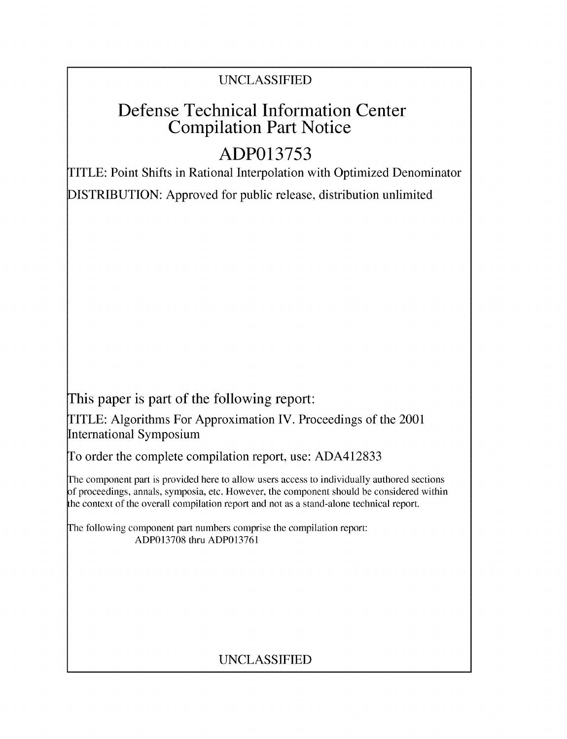# **UNCLASSIFIED**

# **Defense Technical Information Center Compilation Part Notice**

# **ADP013753**

TITLE: Point Shifts in Rational Interpolation with Optimized Denominator **DISTRIBUTION:** Approved for public release, distribution unlimited

This paper is part of the following report:

TITLE: Algorithms For Approximation IV. Proceedings of the 2001 International Symposium

**To** order the complete compilation report, use: **ADA412833**

**The** component part is provided here to allow users access to individually authored sections **f** proceedings, annals, symposia, etc. However, the component should be considered within the context of the overall compilation report and not as a stand-alone technical report.

**The** following component part numbers comprise the compilation report: **ADP013708** thru **ADP013761**

# **UNCLASSIFIED**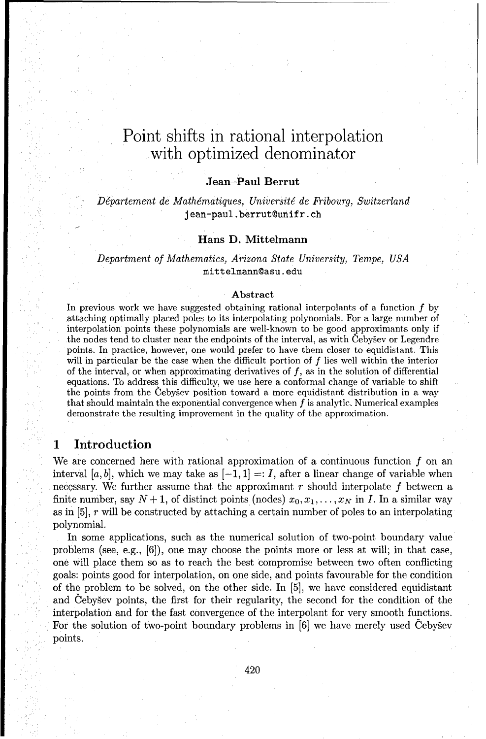## **Jean-Paul Berrut**

*Département de Mathématiques, Université de Fribourg, Switzerland* jean-paul. berrut@unifr. ch

#### **Hans D. Mittelmann**

*Department of Mathematics, Arizona State University, Tempe, USA* mittelmann@asu. edu

#### Abstract

In previous work we have suggested obtaining rational interpolants of a function *f* by attaching optimally placed poles to its interpolating polynomials. For a large number of interpolation points these polynomials are well-known to be good approximants only if the nodes tend to cluster near the endpoints of the interval, as with Cebysev or Legendre points. In practice, however, one would prefer to have them closer to equidistant. This will in particular be the case when the difficult portion of *f* lies well within the interior of the interval, or when approximating derivatives of *f,* as in the solution of differential equations. To address this difficulty, we use here a conformal change of variable to shift the points from the Cebygev position toward a more equidistant distribution in a way that should maintain the exponential convergence when *f* is analytic. Numerical examples demonstrate the resulting improvement in the quality of the approximation.

## **1 Introduction**

We are concerned here with rational approximation of a continuous function *f* on an interval [a, b], which we may take as  $[-1, 1] =: I$ , after a linear change of variable when necessary. We further assume that the approximant *r* should interpolate *f* between a finite number, say  $N + 1$ , of distinct points (nodes)  $x_0, x_1, \ldots, x_N$  in *I*. In a similar way as in [5], *r* will be constructed by attaching a certain number of poles to an interpolating polynomial.

In some applications, such as the numerical solution of two-point boundary value problems (see, e.g., [6]), one may choose the points more or less at will; in that case, one will place them so as to reach the best compromise between two often conflicting goals: points good for interpolation, on one side, and points favourable for the condition of the problem to be solved, on the other side. In [5], we have considered equidistant and Ceby§ev points, the first for their regularity, the second for the condition of the interpolation and for the fast convergence of the interpolant for very smooth functions. For the solution of two-point boundary problems in  $[6]$  we have merely used Cebysev points.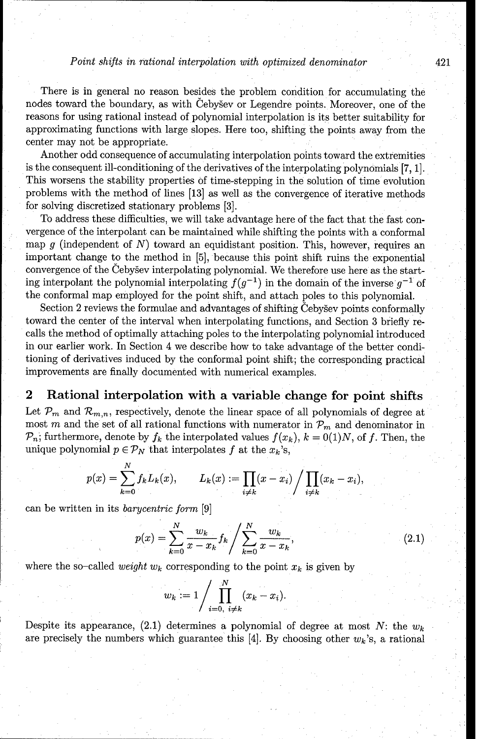There is in general no reason besides the problem condition for accumulating the nodes toward the boundary, as with Cebysev or Legendre points. Moreover, one of the reasons for using rational instead of polynomial interpolation is its better suitability for approximating functions with large slopes. Here too, shifting the points away from the center may not be appropriate.

Another odd consequence of accumulating interpolation points toward the extremities is the consequent ill-conditioning of the derivatives of the interpolating polynomials [7, 1]. This worsens the stability properties of time-stepping in the solution of time evolution problems with the method of lines [13] as well as the convergence of iterative methods for solving discretized stationary problems [3].

To address these difficulties, we will take advantage here of the fact that the fast convergence of the interpolant can be maintained while shifting the points with a conformal map g (independent of *N)* toward an equidistant position. This, however, requires an important change to the method in [5], because this point shift ruins the exponential convergence of the Cebysev interpolating polynomial. We therefore use here as the starting interpolant the polynomial interpolating  $f(g^{-1})$  in the domain of the inverse  $g^{-1}$  of the conformal map employed for the point shift, and attach poles to this polynomial.

Section 2 reviews the formulae and advantages of shifting Cebysev points conformally toward the center of the interval when interpolating functions, and Section 3 briefly recalls the method of optimally attaching poles to the interpolating polynomial introduced in our earlier work. In Section 4 we describe how to take advantage of the better conditioning of derivatives induced by the conformal point shift; the corresponding practical improvements are finally documented with numerical examples.

# **2 Rational interpolation with a variable change for point shifts**

Let  $\mathcal{P}_m$  and  $\mathcal{R}_{m,n}$ , respectively, denote the linear space of all polynomials of degree at most *m* and the set of all rational functions with numerator in  $\mathcal{P}_m$  and denominator in  $\mathcal{P}_n$ ; furthermore, denote by  $f_k$  the interpolated values  $f(x_k)$ ,  $k = 0(1)N$ , of f. Then, the unique polynomial  $p \in \mathcal{P}_N$  that interpolates f at the  $x_k$ 's,

$$
p(x) = \sum_{k=0}^{N} f_k L_k(x), \qquad L_k(x) := \prod_{i \neq k} (x - x_i) / \prod_{i \neq k} (x_k - x_i),
$$

can be written in its *barycentric form* [9]

$$
p(x) = \sum_{k=0}^{N} \frac{w_k}{x - x_k} f_k / \sum_{k=0}^{N} \frac{w_k}{x - x_k},
$$
\n(2.1)

where the so-called *weight*  $w_k$  corresponding to the point  $x_k$  is given by

$$
w_k := 1 / \prod_{i=0, i \neq k}^N (x_k - x_i).
$$

Despite its appearance,  $(2.1)$  determines a polynomial of degree at most *N*: the  $w_k$ are precisely the numbers which guarantee this [4]. By choosing other  $w_k$ 's, a rational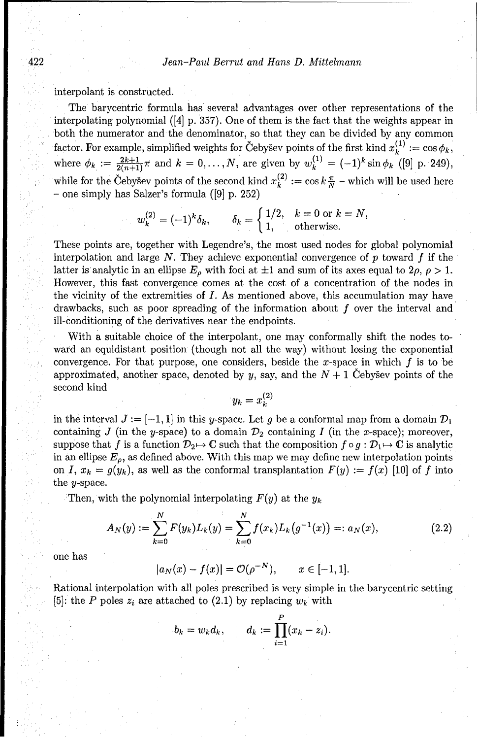interpolant is constructed.

The barycentric formula has several advantages over other representations of the interpolating polynomial  $([4]$  p. 357). One of them is the fact that the weights appear in both the numerator and the denominator, so that they can be divided by any common factor. For example, simplified weights for Cebysev points of the first kind  $x_k^{(1)} := \cos \phi_k$ , where  $\phi_k := \frac{2k+1}{2(n+1)} \pi$  and  $k = 0, ..., N$ , are given by  $w_k^{(1)} = (-1)^k \sin \phi_k$  ([9] p. 249), while for the Cebysev points of the second kind  $x_k^{(2)} := \cos k \frac{\pi}{N}$  – which will be used here **-** one simply has Salzer's formula ([9] p. 252)

$$
w_k^{(2)} = (-1)^k \delta_k, \qquad \delta_k = \begin{cases} 1/2, & k = 0 \text{ or } k = N, \\ 1, & \text{otherwise.} \end{cases}
$$

These points are, together with Legendre's, the most used nodes for global polynomial interpolation and large  $N$ . They achieve exponential convergence of  $p$  toward  $f$  if the latter is analytic in an ellipse  $E_{\rho}$  with foci at  $\pm 1$  and sum of its axes equal to  $2\rho$ ,  $\rho > 1$ . However, this fast convergence comes at the cost of a concentration of the nodes in the vicinity of the extremities of *I.* As mentioned above, this accumulation may have drawbacks, such as poor spreading of the information about *f* over the interval and ill-conditioning of the derivatives near the endpoints.

With a suitable choice of the interpolant, one may conformally shift the nodes toward an equidistant position (though not all the way) without losing the exponential convergence. For that purpose, one considers, beside the x-space in which *f* is to be approximated, another space, denoted by y, say, and the  $N + 1$  Cebysev points of the second kind

$$
y_k=x_k^{\left( 2\right) }
$$

in the interval  $J := [-1, 1]$  in this y-space. Let g be a conformal map from a domain  $\mathcal{D}_1$ containing *J* (in the y-space) to a domain  $\mathcal{D}_2$  containing *I* (in the x-space); moreover, suppose that *f* is a function  $\mathcal{D}_2 \mapsto \mathbb{C}$  such that the composition  $f \circ g : \mathcal{D}_1 \mapsto \mathbb{C}$  is analytic in an ellipse  $E_{\rho}$ , as defined above. With this map we may define new interpolation points on *I,*  $x_k = g(y_k)$ , as well as the conformal transplantation  $F(y) := f(x)$  [10] of *f* into the y-space.

Then, with the polynomial interpolating *F(y)* at the *Yk*

$$
A_N(y) := \sum_{k=0}^N F(y_k) L_k(y) = \sum_{k=0}^N f(x_k) L_k(g^{-1}(x)) =: a_N(x), \qquad (2.2)
$$

one has

$$
|a_N(x) - f(x)| = \mathcal{O}(\rho^{-N}), \qquad x \in [-1, 1].
$$

Rational interpolation with all poles prescribed is very simple in the barycentric setting [5]: the *P* poles  $z_i$  are attached to (2.1) by replacing  $w_k$  with

$$
b_k = w_k d_k, \qquad d_k := \prod_{i=1}^P (x_k - z_i).
$$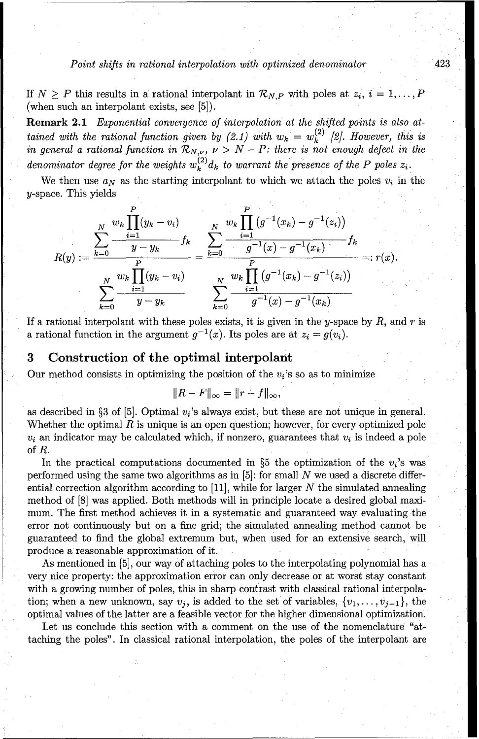If  $N \geq P$  this results in a rational interpolant in  $\mathcal{R}_{N,P}$  with poles at  $z_i$ ,  $i = 1, \ldots, P$ (when such an interpolant exists, see [5]).

Remark 2.1 *Exponential convergence of interpolation at the shifted points is also attained with the rational function given by (2.1) with*  $w_k = w_k^{(2)}$  *[2]. However, this is in general a rational function in*  $\mathcal{R}_{N,\nu}$ ,  $\nu > N - P$ : there is not enough defect in the *denominator degree for the weights*  $w_k^{(2)}d_k$  to warrant the presence of the P poles  $z_i$ 

We then use  $a_N$  as the starting interpolant to which we attach the poles  $v_i$  in the y-space. This yields

$$
R(y) := \frac{\sum_{k=0}^{N} \frac{w_k \prod_{i=1}^{P} (y_k - v_i)}{y - y_k} f_k}{\sum_{k=0}^{N} \frac{w_k \prod_{i=1}^{P} (y_i - y_i - \sum_{i=1}^{P} (y_i - y_i))}{\sum_{k=0}^{P} (y_k - v_i)}} = \frac{\sum_{k=0}^{N} \frac{w_k \prod_{i=1}^{P} (y_i - y_i - \sum_{i=1}^{P} (y_i - y_i))}{\sum_{k=0}^{P} (y_i - y_i - \sum_{i=1}^{P} (y_i - y_i - \sum_{i=1}^{P} (y_i - y_i - \sum_{i=1}^{P} (y_i - y_i - \sum_{i=1}^{P} (y_i - y_i - \sum_{i=1}^{P} (y_i - y_i - \sum_{i=1}^{P} (y_i - y_i - \sum_{i=1}^{P} (y_i - y_i - \sum_{i=1}^{P} (y_i - y_i - \sum_{i=1}^{P} (y_i - y_i - \sum_{i=1}^{P} (y_i - y_i - \sum_{i=1}^{P} (y_i - y_i - \sum_{i=1}^{P} (y_i - y_i - \sum_{i=1}^{P} (y_i - y_i - \sum_{i=1}^{P} (y_i - y_i - \sum_{i=1}^{P} (y_i - y_i - \sum_{i=1}^{P} (y_i - y_i - \sum_{i=1}^{P} (y_i - y_i - \sum_{i=1}^{P} (y_i - y_i - \sum_{i=1}^{P} (y_i - y_i - \sum_{i=1}^{P} (y_i - y_i - \sum_{i=1}^{P} (y_i - y_i - \sum_{i=1}^{P} (y_i - y_i - \sum_{i=1}^{P} (y_i - y_i - \sum_{i=1}^{P} (y_i - y_i - \sum_{i=1}^{P} (y_i - y_i - \sum_{i=1}^{P} (y_i - y_i - \sum_{i=1}^{P} (y_i - y_i - \sum_{i=1}^{P} (y_i - y_i - \sum_{i=1}^{P} (y_i - y_i - \sum_{i=1}^{P} (y_i - y_i - \sum_{i=1}^{P} (y_i - y_i - \sum_{i=1}^{P} (y_i - y_i - \sum_{i=1}^{P} (y_i - y_i - \sum_{i=1}^{P} (y_i -
$$

If a rational interpolant with these poles exists, it is given in the y-space by *R,* and *r* is a rational function in the argument  $g^{-1}(x)$ . Its poles are at  $z_i = g(v_i)$ .

## **3** Construction of the optimal interpolant

Our method consists in optimizing the position of the  $v_i$ 's so as to minimize

$$
||R - F||_{\infty} = ||r - f||_{\infty},
$$

as described in §3 of [5]. Optimal  $v_i$ 's always exist, but these are not unique in general. Whether the optimal *R* is unique is an open question; however, for every optimized pole  $v_i$  an indicator may be calculated which, if nonzero, guarantees that  $v_i$  is indeed a pole of *R.*

In the practical computations documented in §5 the optimization of the  $v_i$ 's was performed using the same two algorithms as in [5]: for small *N* we used a discrete differential correction algorithm according to [11], while for larger *N* the simulated annealing method of [8] was applied. Both methods will in principle locate a desired global maximum. The first method achieves it in a systematic and guaranteed way evaluating the error not continuously but on a fine grid; the simulated annealing method cannot be guaranteed to find the global extremum but, when used for an extensive search, will produce a reasonable approximation of it.

As mentioned in [5], our way of attaching poles to the interpolating polynomial has a very nice property: the approximation error can only decrease or at worst stay constant with a growing number of poles, this in sharp contrast with classical rational interpolation; when a new unknown, say  $v_j$ , is added to the set of variables,  $\{v_1, \ldots, v_{j-1}\}\,$ , the optimal values of the latter are a feasible vector for the higher dimensional optimization.

Let us conclude this section with a comment on the use of the nomenclature "attaching the poles". In classical rational interpolation, the poles of the interpolant are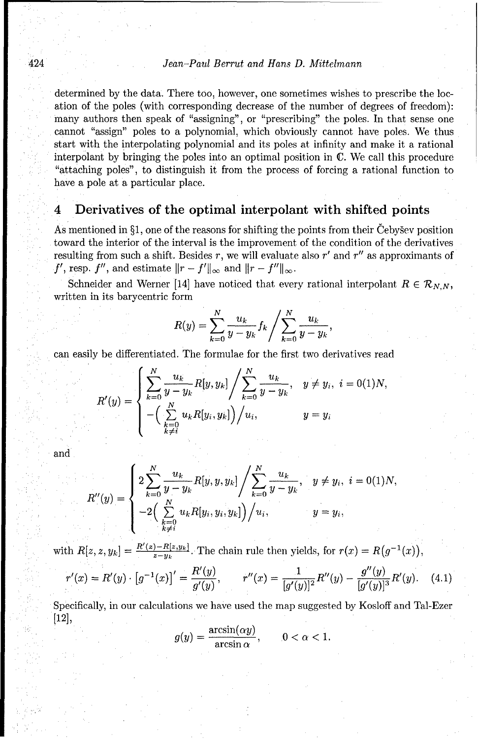determined by the data. There too, however, one sometimes wishes to prescribe the location of the poles (with corresponding decrease of the number of degrees of freedom): many authors then speak of "assigning", or "prescribing" the poles. In that sense one cannot "assign" poles to a polynomial, which obviously cannot have poles. We thus start with the interpolating polynomial and its poles at infinity and make it a rational interpolant by bringing the poles into an optimal position in C. We call this procedure "attaching poles", to distinguish it from the process of forcing a rational function to have a pole at a particular place.

# **4 Derivatives of the optimal interpolant with shifted points**

As mentioned in  $\S1$ , one of the reasons for shifting the points from their Cebysev position toward the interior of the interval is the improvement of the condition of the derivatives resulting from such a shift. Besides  $r$ , we will evaluate also  $r'$  and  $r''$  as approximants of *f'*, resp. *f''*, and estimate  $||r - f'||_{\infty}$  and  $||r - f''||_{\infty}$ .

Schneider and Werner [14] have noticed that every rational interpolant  $R \in \mathcal{R}_{N,N}$ , written in its barycentric form

$$
R(y) = \sum_{k=0}^{N} \frac{u_k}{y - y_k} f_k / \sum_{k=0}^{N} \frac{u_k}{y - y_k},
$$

can easily be differentiated. The formulae for the first two derivatives read<br> $\frac{N}{N}$ 

$$
R'(y) = \begin{cases} \sum_{k=0}^{N} \frac{u_k}{y - y_k} R[y, y_k] / \sum_{k=0}^{N} \frac{u_k}{y - y_k}, & y \neq y_i, \ i = 0(1)N, \\ -\left(\sum_{\substack{k=0 \ k \neq i}}^{N} u_k R[y_i, y_k]\right) / u_i, & y = y_i \end{cases}
$$

and

$$
R''(y) = \begin{cases} 2\sum_{k=0}^{N} \frac{u_k}{y - y_k} R[y, y, y_k] / \sum_{k=0}^{N} \frac{u_k}{y - y_k}, & y \neq y_i, i = 0(1)N, \\ -2\Big(\sum_{\substack{k=0 \ k \neq i}}^{N} u_k R[y_i, y_i, y_k]\Big) / u_i, & y = y_i, \end{cases}
$$

with  $R[z, z, y_k] = \frac{R'(z) - R[z, y_k]}{z - y_k}$ . The chain rule then yields, for  $r(x) = R(g^{-1}(x))$ ,

$$
r'(x) = R'(y) \cdot [g^{-1}(x)]' = \frac{R'(y)}{g'(y)}, \qquad r''(x) = \frac{1}{[g'(y)]^2} R''(y) - \frac{g''(y)}{[g'(y)]^3} R'(y). \tag{4.1}
$$

Specifically, in our calculations we have used the map suggested by Kosloff and Tal-Ezer [12],

$$
g(y) = \frac{\arcsin(\alpha y)}{\arcsin \alpha}, \qquad 0 < \alpha < 1.
$$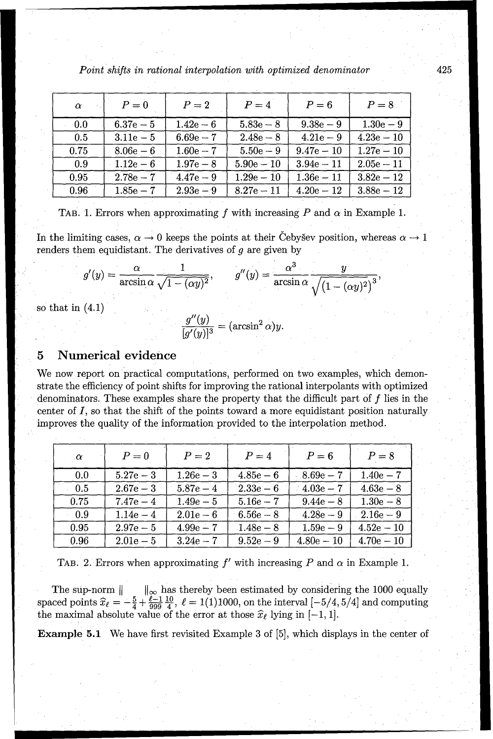| $\alpha$ | $P=0$       | $P=2$       | $P = 4$      | $P=6$        | $P=8$        |
|----------|-------------|-------------|--------------|--------------|--------------|
| 0.0      | $6.37e - 5$ | $1.42e-6$   | $5.83e - 8$  | $9.38e - 9$  | $1.30e - 9$  |
| 0.5      | $3.11e - 5$ | $6.69e - 7$ | $2.48e - 8$  | $4.21e-9$    | $4.23e - 10$ |
| 0.75     | $8.06e - 6$ | $1.60e - 7$ | $5.50e - 9$  | $9.47e - 10$ | $1.27e - 10$ |
| 0.9      | $-1.12e-6$  | $1.97e - 8$ | $5.90e - 10$ | $3.94e - 11$ | $2.05e - 11$ |
| 0.95     | $2.78e - 7$ | $4.47e - 9$ | $1.29e - 10$ | $1.36e - 11$ | $3.82e - 12$ |
| 0.96     | $1.85e - 7$ | $2.93e - 9$ | $8.27e - 11$ | $4.20e - 12$ | $3.88e - 12$ |

TAB. 1. Errors when approximating  $f$  with increasing  $P$  and  $\alpha$  in Example 1.

In the limiting cases,  $\alpha \to 0$  keeps the points at their Cebysev position, whereas  $\alpha \to 1$ renders them equidistant. The derivatives of *g* are given by

$$
g'(y) = \frac{\alpha}{\arcsin \alpha} \frac{1}{\sqrt{1 - (\alpha y)^2}}, \qquad g''(y) = \frac{\alpha^3}{\arcsin \alpha} \frac{y}{\sqrt{(1 - (\alpha y)^2)^3}},
$$

so that in (4.1)

$$
\frac{g''(y)}{[g'(y)]^3} = (\arcsin^2 \alpha)y.
$$

## **5 Numerical evidence**

We now report on practical computations, performed on two examples, which demonstrate the efficiency of point shifts for improving the rational interpolants with optimized denominators. These examples share the property that the difficult part of *f* lies in the center of *I,* so that the shift of the points toward a more equidistant position naturally improves the quality of the information provided to the interpolation method.

| $\alpha$ | $P=0$       | $P=2$       | $P = 4$     | $P=6$               | $P=8$        |
|----------|-------------|-------------|-------------|---------------------|--------------|
| 0.0      | $5.27e - 3$ | $1.26e - 3$ | $4.85e-6$   | $-8.69\mathrm{e}-7$ | $1.40e - 7$  |
| - 0.5    | $2.67e - 3$ | $5.87e - 4$ | $2.33e-6$   | $4.03e - 7$         | $4.63e-8$    |
| 0.75     | $7.47e - 4$ | $1.49e - 5$ | $5.16e - 7$ | $9.44e - 8$         | $1.30e - 8$  |
| 0.9      | $1.14e - 4$ | $2.01e-6$   | $6.56e - 8$ | $4.28e-9$           | $2.16e - 9$  |
| 0.95     | $2.97e - 5$ | $4.99e - 7$ | $1.48e - 8$ | $1.59e - 9$         | $4.52e - 10$ |
| 0.96     | $2.01e-5$   | $3.24e - 7$ | $9.52e - 9$ | $4.80e - 10$        | $4.70e - 10$ |

TAB. 2. Errors when approximating  $f'$  with increasing  $P$  and  $\alpha$  in Example 1.

The sup-norm  $\|\cdot\|_{\infty}$  has thereby been estimated by considering the 1000 equally spaced points  $\hat{x}_{\ell} = -\frac{5}{4} + \frac{\ell-1}{200} \frac{10}{4}$ ,  $\ell = 1(1)1000$ , on the interval  $[-5/4, 5/4]$  and computing the maximal absolute value of the error at those  $\hat{x}_{\ell}$  lying in [-1, 1].

**Example 5.1** We have first revisited Example 3 of [5], which displays in the center of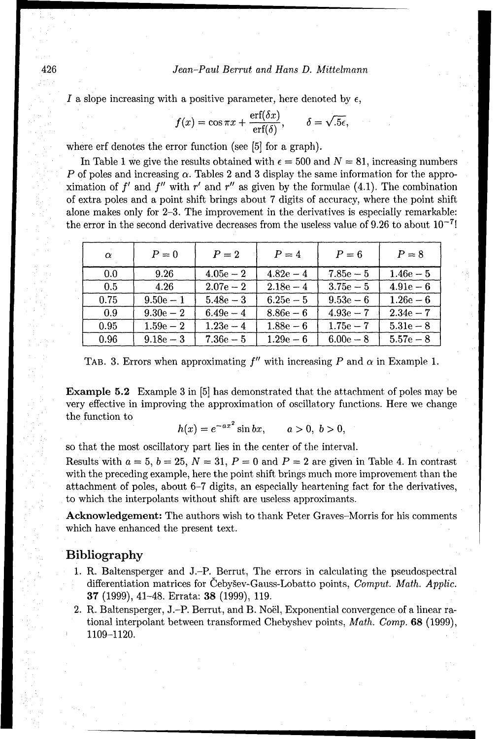#### 426 *Jean-Paul Berrut and Hans D. Mittelmann*

*I* a slope increasing with a positive parameter, here denoted by  $\epsilon$ ,

$$
f(x) = \cos \pi x + \frac{\text{erf}(\delta x)}{\text{erf}(\delta)}, \qquad \delta = \sqrt{.5\epsilon},
$$

where erf denotes the error function (see [5] for a graph).

In Table 1 we give the results obtained with  $\epsilon = 500$  and  $N = 81$ , increasing numbers *P* of poles and increasing  $\alpha$ . Tables 2 and 3 display the same information for the approximation of  $f'$  and  $f''$  with  $r'$  and  $r''$  as given by the formulae (4.1). The combination of extra poles and a point shift brings about 7 digits of accuracy, where the point shift alone makes only for 2-3. The improvement in the derivatives is especially remarkable: the error in the second derivative decreases from the useless value of 9.26 to about **10-7!**

| $\alpha$ | $P=0$       | $P=2$       | $P=4$       | $P=6$       | $P = 8$     |
|----------|-------------|-------------|-------------|-------------|-------------|
| 0.0      | 9.26        | $4.05e - 2$ | $4.82e-4$   | $7.85e - 5$ | $1.46e - 5$ |
| 0.5      | 4.26        | $2.07e - 2$ | $2.18e - 4$ | $3.75e - 5$ | $4.91e - 6$ |
| 0.75     | $9.50e - 1$ | $5.48e - 3$ | $6.25e - 5$ | $9.53e - 6$ | $1.26e-6$   |
| 0.9      | $9.30e - 2$ | $6.49e - 4$ | $8.86e - 6$ | $4.93e - 7$ | $2.34e - 7$ |
| 0.95     | $1.59e - 2$ | $1.23e - 4$ | $1.88e-6$   | $1.75e - 7$ | $5.31e - 8$ |
| 0.96     | $9.18e - 3$ | $7.36e - 5$ | $1.29e-6$   | $6.00e - 8$ | $5.57e - 8$ |

TAB. 3. Errors when approximating  $f''$  with increasing P and  $\alpha$  in Example 1.

Example **5.2** Example 3 in [5] has demonstrated that the attachment of poles may be very effective in improving the approximation of oscillatory functions. Here we change the function to

$$
h(x) = e^{-ax^2} \sin bx
$$
,  $a > 0, b > 0$ ,

so that the most oscillatory part lies in the center of the interval.

Results with  $a = 5$ ,  $b = 25$ ,  $N = 31$ ,  $P = 0$  and  $P = 2$  are given in Table 4. In contrast with the preceding example, here the point shift brings much more improvement than the attachment of poles, about 6-7 digits, an especially heartening fact for the derivatives, to which the interpolants without shift are useless approximants.

Acknowledgement: The authors wish to thank Peter Graves-Morris for his comments which have enhanced the present text.

# Bibliography

- 1. R. Baltensperger and J.-P. Berrut, The errors in calculating the pseudospectral differentiation matrices for Cebysev-Gauss-Lobatto points, *Comput. Math. Applic.* 37 (1999), 41-48. Errata: 38 (1999), 119.
- 2. R. Baltensperger, J.-P. Berrut, and B. Noël, Exponential convergence of a linear rational interpolant between transformed Chebyshev points, *Math. Comp.* **68 (1999),** 1109-1120.